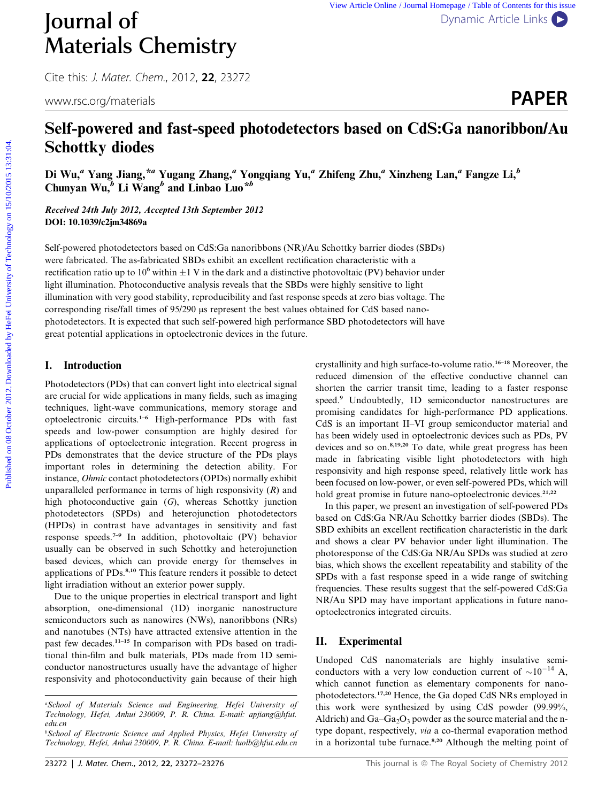# Materials Chemistry

Cite this: J. Mater. Chem., 2012, <sup>22</sup>, 23272

www.rsc.org/materials **PAPER** 

## Journal of [Dynamic Article Links](http://dx.doi.org/10.1039/c2jm34869a)

### Self-powered and fast-speed photodetectors based on CdS:Ga nanoribbon/Au Schottky diodes

Di Wu,<sup>a</sup> Yang Jiang, \*<sup>a</sup> Yugang Zhang,<sup>a</sup> Yongqiang Yu,<sup>a</sup> Zhifeng Zhu,<sup>a</sup> Xinzheng Lan,<sup>a</sup> Fangze Li,<sup>b</sup> Chunyan Wu, $\overline{b}$  Li Wang<sup>b</sup> and Linbao Luo<sup>\*b</sup>

Received 24th July 2012, Accepted 13th September 2012 DOI: 10.1039/c2jm34869a

Self-powered photodetectors based on CdS:Ga nanoribbons (NR)/Au Schottky barrier diodes (SBDs) were fabricated. The as-fabricated SBDs exhibit an excellent rectification characteristic with a rectification ratio up to 10<sup>6</sup> within  $\pm 1$  V in the dark and a distinctive photovoltaic (PV) behavior under light illumination. Photoconductive analysis reveals that the SBDs were highly sensitive to light illumination with very good stability, reproducibility and fast response speeds at zero bias voltage. The corresponding rise/fall times of 95/290 µs represent the best values obtained for CdS based nanophotodetectors. It is expected that such self-powered high performance SBD photodetectors will have great potential applications in optoelectronic devices in the future. **Published on 08** Year Antis University Dytaric Active Lehibs **C**<br> **PAPER**<br> **PAPER**<br> **PAPER**<br> **PAPER**<br> **PAPER**<br> **PAPER**<br> **Self-powered and fast-speed photodetectors based on CdS:Ga nanoribbon/Au<br>
<b>Schooff University of Te** 

#### I. Introduction

Photodetectors (PDs) that can convert light into electrical signal are crucial for wide applications in many fields, such as imaging techniques, light-wave communications, memory storage and optoelectronic circuits.1–6 High-performance PDs with fast speeds and low-power consumption are highly desired for applications of optoelectronic integration. Recent progress in PDs demonstrates that the device structure of the PDs plays important roles in determining the detection ability. For instance, Ohmic contact photodetectors (OPDs) normally exhibit unparalleled performance in terms of high responsivity  $(R)$  and high photoconductive gain (G), whereas Schottky junction photodetectors (SPDs) and heterojunction photodetectors (HPDs) in contrast have advantages in sensitivity and fast response speeds.7–9 In addition, photovoltaic (PV) behavior usually can be observed in such Schottky and heterojunction based devices, which can provide energy for themselves in applications of PDs.<sup>8,10</sup> This feature renders it possible to detect light irradiation without an exterior power supply.

Due to the unique properties in electrical transport and light absorption, one-dimensional (1D) inorganic nanostructure semiconductors such as nanowires (NWs), nanoribbons (NRs) and nanotubes (NTs) have attracted extensive attention in the past few decades.11–15 In comparison with PDs based on traditional thin-film and bulk materials, PDs made from 1D semiconductor nanostructures usually have the advantage of higher responsivity and photoconductivity gain because of their high

crystallinity and high surface-to-volume ratio.16–18 Moreover, the reduced dimension of the effective conductive channel can shorten the carrier transit time, leading to a faster response speed.<sup>9</sup> Undoubtedly, 1D semiconductor nanostructures are promising candidates for high-performance PD applications. CdS is an important II–VI group semiconductor material and has been widely used in optoelectronic devices such as PDs, PV devices and so on.<sup>8,19,20</sup> To date, while great progress has been made in fabricating visible light photodetectors with high responsivity and high response speed, relatively little work has been focused on low-power, or even self-powered PDs, which will hold great promise in future nano-optoelectronic devices.<sup>21,22</sup>

In this paper, we present an investigation of self-powered PDs based on CdS:Ga NR/Au Schottky barrier diodes (SBDs). The SBD exhibits an excellent rectification characteristic in the dark and shows a clear PV behavior under light illumination. The photoresponse of the CdS:Ga NR/Au SPDs was studied at zero bias, which shows the excellent repeatability and stability of the SPDs with a fast response speed in a wide range of switching frequencies. These results suggest that the self-powered CdS:Ga NR/Au SPD may have important applications in future nanooptoelectronics integrated circuits.

#### II. Experimental

Undoped CdS nanomaterials are highly insulative semiconductors with a very low conduction current of  $\sim 10^{-14}$  A, which cannot function as elementary components for nanophotodetectors.17,20 Hence, the Ga doped CdS NRs employed in this work were synthesized by using CdS powder (99.99%, Aldrich) and  $Ga-Ga<sub>2</sub>O<sub>3</sub>$  powder as the source material and the ntype dopant, respectively, via a co-thermal evaporation method in a horizontal tube furnace.<sup>8,20</sup> Although the melting point of

a School of Materials Science and Engineering, Hefei University of Technology, Hefei, Anhui 230009, P. R. China. E-mail: apjiang@hfut. edu.cn

b School of Electronic Science and Applied Physics, Hefei University of Technology, Hefei, Anhui 230009, P. R. China. E-mail: luolb@hfut.edu.cn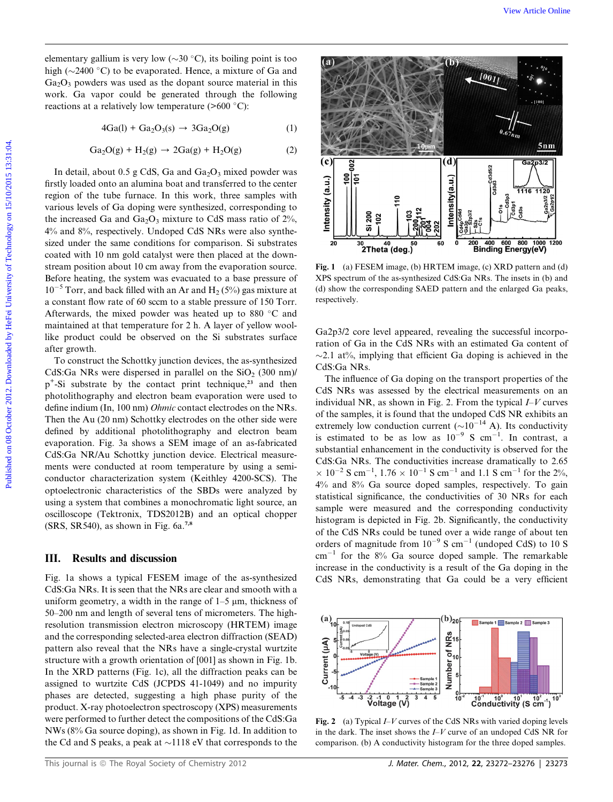elementary gallium is very low  $(\sim 30 \degree C)$ , its boiling point is too high ( $\sim$ 2400 °C) to be evaporated. Hence, a mixture of Ga and  $Ga<sub>2</sub>O<sub>3</sub>$  powders was used as the dopant source material in this work. Ga vapor could be generated through the following reactions at a relatively low temperature  $(>600 \degree C)$ :

$$
4Ga(l) + Ga2O3(s) \rightarrow 3Ga2O(g)
$$
 (1)

$$
Ga2O(g) + H2(g) \rightarrow 2Ga(g) + H2O(g)
$$
 (2)

In detail, about 0.5 g CdS, Ga and  $Ga<sub>2</sub>O<sub>3</sub>$  mixed powder was firstly loaded onto an alumina boat and transferred to the center region of the tube furnace. In this work, three samples with various levels of Ga doping were synthesized, corresponding to the increased Ga and  $Ga_2O_3$  mixture to CdS mass ratio of 2%, 4% and 8%, respectively. Undoped CdS NRs were also synthesized under the same conditions for comparison. Si substrates coated with 10 nm gold catalyst were then placed at the downstream position about 10 cm away from the evaporation source. Before heating, the system was evacuated to a base pressure of  $10^{-5}$  Torr, and back filled with an Ar and H<sub>2</sub> (5%) gas mixture at a constant flow rate of 60 sccm to a stable pressure of 150 Torr. Afterwards, the mixed powder was heated up to 880  $^{\circ}$ C and maintained at that temperature for 2 h. A layer of yellow woollike product could be observed on the Si substrates surface after growth.

To construct the Schottky junction devices, the as-synthesized CdS:Ga NRs were dispersed in parallel on the  $SiO<sub>2</sub>$  (300 nm)/ p<sup>+</sup>-Si substrate by the contact print technique,<sup>23</sup> and then photolithography and electron beam evaporation were used to define indium (In, 100 nm) Ohmic contact electrodes on the NRs. Then the Au (20 nm) Schottky electrodes on the other side were defined by additional photolithography and electron beam evaporation. Fig. 3a shows a SEM image of an as-fabricated CdS:Ga NR/Au Schottky junction device. Electrical measurements were conducted at room temperature by using a semiconductor characterization system (Keithley 4200-SCS). The optoelectronic characteristics of the SBDs were analyzed by using a system that combines a monochromatic light source, an oscilloscope (Tektronix, TDS2012B) and an optical chopper  $(SRS, SR540)$ , as shown in Fig. 6a.<sup>7,8</sup>

#### III. Results and discussion

Fig. 1a shows a typical FESEM image of the as-synthesized CdS:Ga NRs. It is seen that the NRs are clear and smooth with a uniform geometry, a width in the range of  $1-5 \mu m$ , thickness of 50–200 nm and length of several tens of micrometers. The highresolution transmission electron microscopy (HRTEM) image and the corresponding selected-area electron diffraction (SEAD) pattern also reveal that the NRs have a single-crystal wurtzite structure with a growth orientation of [001] as shown in Fig. 1b. In the XRD patterns (Fig. 1c), all the diffraction peaks can be assigned to wurtzite CdS (JCPDS 41-1049) and no impurity phases are detected, suggesting a high phase purity of the product. X-ray photoelectron spectroscopy (XPS) measurements were performed to further detect the compositions of the CdS:Ga NWs (8% Ga source doping), as shown in Fig. 1d. In addition to the Cd and S peaks, a peak at  $\sim$ 1118 eV that corresponds to the



Fig. 1 (a) FESEM image, (b) HRTEM image, (c) XRD pattern and (d) XPS spectrum of the as-synthesized CdS:Ga NRs. The insets in (b) and (d) show the corresponding SAED pattern and the enlarged Ga peaks, respectively.

Ga2p3/2 core level appeared, revealing the successful incorporation of Ga in the CdS NRs with an estimated Ga content of  $\sim$ 2.1 at%, implying that efficient Ga doping is achieved in the CdS:Ga NRs.

The influence of Ga doping on the transport properties of the CdS NRs was assessed by the electrical measurements on an individual NR, as shown in Fig. 2. From the typical  $I-V$  curves of the samples, it is found that the undoped CdS NR exhibits an extremely low conduction current ( $\sim 10^{-14}$  A). Its conductivity is estimated to be as low as  $10^{-9}$  S cm<sup>-1</sup>. In contrast, a substantial enhancement in the conductivity is observed for the CdS:Ga NRs. The conductivities increase dramatically to 2.65  $\times$  10<sup>-2</sup> S cm<sup>-1</sup>, 1.76  $\times$  10<sup>-1</sup> S cm<sup>-1</sup> and 1.1 S cm<sup>-1</sup> for the 2%, 4% and 8% Ga source doped samples, respectively. To gain statistical significance, the conductivities of 30 NRs for each sample were measured and the corresponding conductivity histogram is depicted in Fig. 2b. Significantly, the conductivity of the CdS NRs could be tuned over a wide range of about ten orders of magnitude from  $10^{-9}$  S cm<sup>-1</sup> (undoped CdS) to 10 S  $cm^{-1}$  for the 8% Ga source doped sample. The remarkable increase in the conductivity is a result of the Ga doping in the CdS NRs, demonstrating that Ga could be a very efficient



Fig. 2 (a) Typical  $I-V$  curves of the CdS NRs with varied doping levels in the dark. The inset shows the  $I-V$  curve of an undoped CdS NR for comparison. (b) A conductivity histogram for the three doped samples.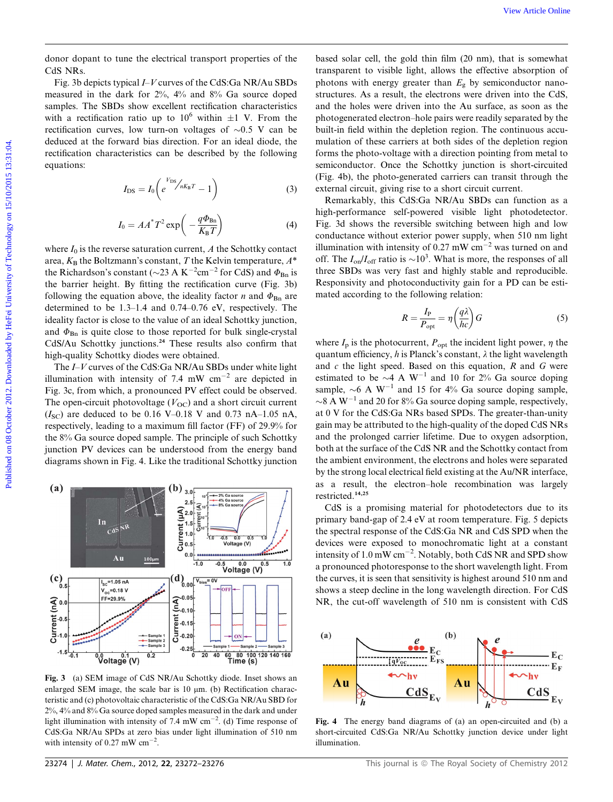donor dopant to tune the electrical transport properties of the CdS NRs.

Fig. 3b depicts typical I–V curves of the CdS:Ga NR/Au SBDs measured in the dark for 2%, 4% and 8% Ga source doped samples. The SBDs show excellent rectification characteristics with a rectification ratio up to  $10^6$  within  $\pm 1$  V. From the rectification curves, low turn-on voltages of  $\sim 0.5$  V can be deduced at the forward bias direction. For an ideal diode, the rectification characteristics can be described by the following equations:

$$
I_{\rm DS} = I_0 \left( e^{\frac{V_{\rm DS}}{R} / nK_{\rm B}T} - 1 \right) \tag{3}
$$

$$
I_0 = AA^* T^2 \exp\left(-\frac{q\Phi_{\rm Bn}}{K_{\rm B}T}\right) \tag{4}
$$

where  $I_0$  is the reverse saturation current, A the Schottky contact area,  $K_{\rm B}$  the Boltzmann's constant, T the Kelvin temperature,  $A^*$ the Richardson's constant ( $\sim$ 23 A K<sup>-2</sup>cm<sup>-2</sup> for CdS) and  $\Phi_{\text{Bn}}$  is the barrier height. By fitting the rectification curve (Fig. 3b) following the equation above, the ideality factor *n* and  $\Phi_{\text{Bn}}$  are determined to be 1.3–1.4 and 0.74–0.76 eV, respectively. The ideality factor is close to the value of an ideal Schottky junction, and  $\Phi_{\text{Bn}}$  is quite close to those reported for bulk single-crystal CdS/Au Schottky junctions.<sup>24</sup> These results also confirm that high-quality Schottky diodes were obtained.

The I–V curves of the CdS:Ga NR/Au SBDs under white light illumination with intensity of 7.4 mW  $cm^{-2}$  are depicted in Fig. 3c, from which, a pronounced PV effect could be observed. The open-circuit photovoltage  $(V_{OC})$  and a short circuit current  $(I_{SC})$  are deduced to be 0.16 V–0.18 V and 0.73 nA–1.05 nA, respectively, leading to a maximum fill factor (FF) of 29.9% for the 8% Ga source doped sample. The principle of such Schottky junction PV devices can be understood from the energy band diagrams shown in Fig. 4. Like the traditional Schottky junction



Fig. 3 (a) SEM image of CdS NR/Au Schottky diode. Inset shows an enlarged SEM image, the scale bar is  $10 \mu m$ . (b) Rectification characteristic and (c) photovoltaic characteristic of the CdS:Ga NR/Au SBD for 2%, 4% and 8% Ga source doped samples measured in the dark and under light illumination with intensity of 7.4 mW  $cm^{-2}$ . (d) Time response of CdS:Ga NR/Au SPDs at zero bias under light illumination of 510 nm with intensity of 0.27 mW  $\text{cm}^{-2}$ .

based solar cell, the gold thin film (20 nm), that is somewhat transparent to visible light, allows the effective absorption of photons with energy greater than  $E<sub>g</sub>$  by semiconductor nanostructures. As a result, the electrons were driven into the CdS, and the holes were driven into the Au surface, as soon as the photogenerated electron–hole pairs were readily separated by the built-in field within the depletion region. The continuous accumulation of these carriers at both sides of the depletion region forms the photo-voltage with a direction pointing from metal to semiconductor. Once the Schottky junction is short-circuited (Fig. 4b), the photo-generated carriers can transit through the external circuit, giving rise to a short circuit current.

Remarkably, this CdS:Ga NR/Au SBDs can function as a high-performance self-powered visible light photodetector. Fig. 3d shows the reversible switching between high and low conductance without exterior power supply, when 510 nm light illumination with intensity of 0.27 mW  $cm^{-2}$  was turned on and off. The  $I_{\text{on}}/I_{\text{off}}$  ratio is  $\sim 10^3$ . What is more, the responses of all three SBDs was very fast and highly stable and reproducible. Responsivity and photoconductivity gain for a PD can be estimated according to the following relation:

$$
R = \frac{I_{\rm P}}{P_{\rm opt}} = \eta \left(\frac{q\lambda}{hc}\right) G \tag{5}
$$

where  $I_p$  is the photocurrent,  $P_{opt}$  the incident light power,  $\eta$  the quantum efficiency, h is Planck's constant,  $\lambda$  the light wavelength and  $c$  the light speed. Based on this equation,  $R$  and  $G$  were estimated to be  $\sim$ 4 A W<sup>-1</sup> and 10 for 2% Ga source doping sample,  $\sim$ 6 A W<sup>-1</sup> and 15 for 4% Ga source doping sample,  $\sim$ 8 A W<sup>-1</sup> and 20 for 8% Ga source doping sample, respectively, at 0 V for the CdS:Ga NRs based SPDs. The greater-than-unity gain may be attributed to the high-quality of the doped CdS NRs and the prolonged carrier lifetime. Due to oxygen adsorption, both at the surface of the CdS NR and the Schottky contact from the ambient environment, the electrons and holes were separated by the strong local electrical field existing at the Au/NR interface, as a result, the electron–hole recombination was largely restricted.14,25 Ver Article (Solution translated temperature properties of the based scheres the solution of the New Article Consumer Consumer Consumer Consumer Consumer Consumer Consumer Consumer Consumer Consumer Consumer Consumer Cons

CdS is a promising material for photodetectors due to its primary band-gap of 2.4 eV at room temperature. Fig. 5 depicts the spectral response of the CdS:Ga NR and CdS SPD when the devices were exposed to monochromatic light at a constant intensity of  $1.0 \text{ mW cm}^{-2}$ . Notably, both CdS NR and SPD show a pronounced photoresponse to the short wavelength light. From the curves, it is seen that sensitivity is highest around 510 nm and shows a steep decline in the long wavelength direction. For CdS NR, the cut-off wavelength of 510 nm is consistent with CdS



Fig. 4 The energy band diagrams of (a) an open-circuited and (b) a short-circuited CdS:Ga NR/Au Schottky junction device under light illumination.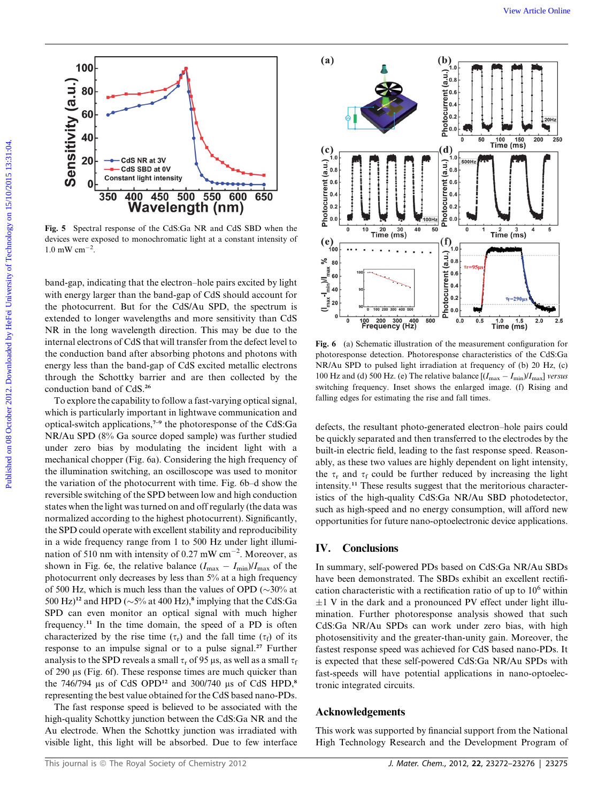

Fig. 5 Spectral response of the CdS:Ga NR and CdS SBD when the devices were exposed to monochromatic light at a constant intensity of  $1.0 \text{ mW cm}^{-2}$ .

band-gap, indicating that the electron–hole pairs excited by light with energy larger than the band-gap of CdS should account for the photocurrent. But for the CdS/Au SPD, the spectrum is extended to longer wavelengths and more sensitivity than CdS NR in the long wavelength direction. This may be due to the internal electrons of CdS that will transfer from the defect level to the conduction band after absorbing photons and photons with energy less than the band-gap of CdS excited metallic electrons through the Schottky barrier and are then collected by the conduction band of CdS.<sup>26</sup>

To explore the capability to follow a fast-varying optical signal, which is particularly important in lightwave communication and optical-switch applications,7–9 the photoresponse of the CdS:Ga NR/Au SPD (8% Ga source doped sample) was further studied under zero bias by modulating the incident light with a mechanical chopper (Fig. 6a). Considering the high frequency of the illumination switching, an oscilloscope was used to monitor the variation of the photocurrent with time. Fig. 6b–d show the reversible switching of the SPD between low and high conduction states when the light was turned on and off regularly (the data was normalized according to the highest photocurrent). Significantly, the SPD could operate with excellent stability and reproducibility in a wide frequency range from 1 to 500 Hz under light illumination of 510 nm with intensity of 0.27 mW  $cm^{-2}$ . Moreover, as shown in Fig. 6e, the relative balance  $(I_{\text{max}} - I_{\text{min}})/I_{\text{max}}$  of the photocurrent only decreases by less than 5% at a high frequency of 500 Hz, which is much less than the values of OPD ( $\sim$ 30% at 500 Hz $)^{12}$  and HPD ( $\sim$  5% at 400 Hz),<sup>8</sup> implying that the CdS:Ga SPD can even monitor an optical signal with much higher frequency.<sup>11</sup> In the time domain, the speed of a PD is often characterized by the rise time ( $\tau_r$ ) and the fall time ( $\tau_f$ ) of its response to an impulse signal or to a pulse signal.<sup>27</sup> Further analysis to the SPD reveals a small  $\tau_r$  of 95  $\mu$ s, as well as a small  $\tau_f$ of 290 ms (Fig. 6f). These response times are much quicker than the  $746/794$  µs of CdS OPD<sup>12</sup> and  $300/740$  µs of CdS HPD,<sup>8</sup> representing the best value obtained for the CdS based nano-PDs.

The fast response speed is believed to be associated with the high-quality Schottky junction between the CdS:Ga NR and the Au electrode. When the Schottky junction was irradiated with visible light, this light will be absorbed. Due to few interface



Fig. 6 (a) Schematic illustration of the measurement configuration for photoresponse detection. Photoresponse characteristics of the CdS:Ga NR/Au SPD to pulsed light irradiation at frequency of (b) 20 Hz, (c) 100 Hz and (d) 500 Hz. (e) The relative balance  $[(I_{\text{max}} - I_{\text{min}})/I_{\text{max}}]$  versus switching frequency. Inset shows the enlarged image. (f) Rising and falling edges for estimating the rise and fall times.

defects, the resultant photo-generated electron–hole pairs could be quickly separated and then transferred to the electrodes by the built-in electric field, leading to the fast response speed. Reasonably, as these two values are highly dependent on light intensity, the  $\tau_r$  and  $\tau_f$  could be further reduced by increasing the light intensity.<sup>11</sup> These results suggest that the meritorious characteristics of the high-quality CdS:Ga NR/Au SBD photodetector, such as high-speed and no energy consumption, will afford new opportunities for future nano-optoelectronic device applications.

#### IV. Conclusions

In summary, self-powered PDs based on CdS:Ga NR/Au SBDs have been demonstrated. The SBDs exhibit an excellent rectification characteristic with a rectification ratio of up to  $10^6$  within  $\pm 1$  V in the dark and a pronounced PV effect under light illumination. Further photoresponse analysis showed that such CdS:Ga NR/Au SPDs can work under zero bias, with high photosensitivity and the greater-than-unity gain. Moreover, the fastest response speed was achieved for CdS based nano-PDs. It is expected that these self-powered CdS:Ga NR/Au SPDs with fast-speeds will have potential applications in nano-optoelectronic integrated circuits.

#### Acknowledgements

This work was supported by financial support from the National High Technology Research and the Development Program of